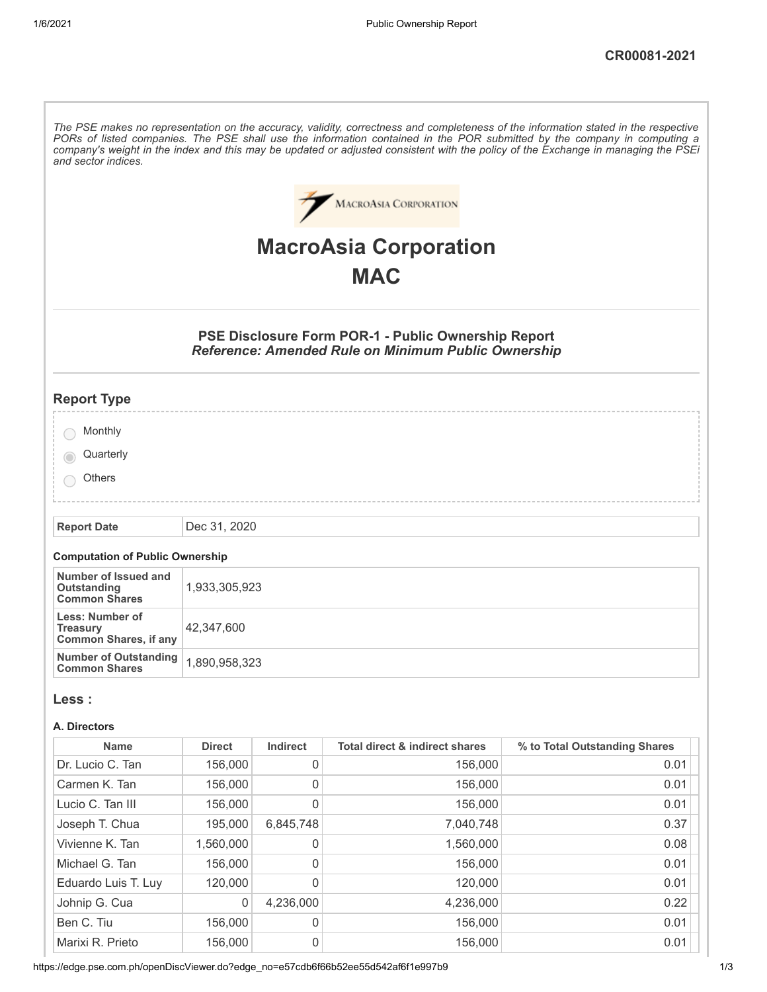| and sector indices.                                                |               |                  |                                                                                                                          | The PSE makes no representation on the accuracy, validity, correctness and completeness of the information stated in the respective<br>PORs of listed companies. The PSE shall use the information contained in the POR submitted by the company in computing a<br>company's weight in the index and this may be updated or adjusted consistent with the policy of the Exchange in managing the PSEi |
|--------------------------------------------------------------------|---------------|------------------|--------------------------------------------------------------------------------------------------------------------------|------------------------------------------------------------------------------------------------------------------------------------------------------------------------------------------------------------------------------------------------------------------------------------------------------------------------------------------------------------------------------------------------------|
|                                                                    |               |                  | <b>MACROASIA CORPORATION</b>                                                                                             |                                                                                                                                                                                                                                                                                                                                                                                                      |
|                                                                    |               |                  |                                                                                                                          |                                                                                                                                                                                                                                                                                                                                                                                                      |
|                                                                    |               |                  | <b>MacroAsia Corporation</b>                                                                                             |                                                                                                                                                                                                                                                                                                                                                                                                      |
|                                                                    |               |                  | <b>MAC</b>                                                                                                               |                                                                                                                                                                                                                                                                                                                                                                                                      |
|                                                                    |               |                  |                                                                                                                          |                                                                                                                                                                                                                                                                                                                                                                                                      |
|                                                                    |               |                  | <b>PSE Disclosure Form POR-1 - Public Ownership Report</b><br><b>Reference: Amended Rule on Minimum Public Ownership</b> |                                                                                                                                                                                                                                                                                                                                                                                                      |
| <b>Report Type</b>                                                 |               |                  |                                                                                                                          |                                                                                                                                                                                                                                                                                                                                                                                                      |
| Monthly                                                            |               |                  |                                                                                                                          |                                                                                                                                                                                                                                                                                                                                                                                                      |
| Quarterly                                                          |               |                  |                                                                                                                          |                                                                                                                                                                                                                                                                                                                                                                                                      |
| Others                                                             |               |                  |                                                                                                                          |                                                                                                                                                                                                                                                                                                                                                                                                      |
|                                                                    |               |                  |                                                                                                                          |                                                                                                                                                                                                                                                                                                                                                                                                      |
| <b>Report Date</b>                                                 | Dec 31, 2020  |                  |                                                                                                                          |                                                                                                                                                                                                                                                                                                                                                                                                      |
| <b>Computation of Public Ownership</b>                             |               |                  |                                                                                                                          |                                                                                                                                                                                                                                                                                                                                                                                                      |
| Number of Issued and                                               |               |                  |                                                                                                                          |                                                                                                                                                                                                                                                                                                                                                                                                      |
| Outstanding<br><b>Common Shares</b>                                | 1,933,305,923 |                  |                                                                                                                          |                                                                                                                                                                                                                                                                                                                                                                                                      |
| Less: Number of<br><b>Treasury</b><br><b>Common Shares, if any</b> | 42,347,600    |                  |                                                                                                                          |                                                                                                                                                                                                                                                                                                                                                                                                      |
| <b>Number of Outstanding</b><br><b>Common Shares</b>               | 1,890,958,323 |                  |                                                                                                                          |                                                                                                                                                                                                                                                                                                                                                                                                      |
| Less :                                                             |               |                  |                                                                                                                          |                                                                                                                                                                                                                                                                                                                                                                                                      |
| A. Directors                                                       |               |                  |                                                                                                                          |                                                                                                                                                                                                                                                                                                                                                                                                      |
| Name                                                               | <b>Direct</b> | Indirect         | <b>Total direct &amp; indirect shares</b>                                                                                | % to Total Outstanding Shares                                                                                                                                                                                                                                                                                                                                                                        |
| Dr. Lucio C. Tan                                                   | 156,000       | $\mathbf 0$      | 156,000                                                                                                                  | 0.01                                                                                                                                                                                                                                                                                                                                                                                                 |
| Carmen K. Tan                                                      | 156,000       | $\boldsymbol{0}$ | 156,000                                                                                                                  | 0.01                                                                                                                                                                                                                                                                                                                                                                                                 |
| Lucio C. Tan III                                                   | 156,000       | $\boldsymbol{0}$ | 156,000                                                                                                                  | 0.01                                                                                                                                                                                                                                                                                                                                                                                                 |
| Joseph T. Chua                                                     | 195,000       | 6,845,748        | 7,040,748                                                                                                                | 0.37                                                                                                                                                                                                                                                                                                                                                                                                 |
| Vivienne K. Tan                                                    | 1,560,000     | 0                | 1,560,000                                                                                                                | 0.08                                                                                                                                                                                                                                                                                                                                                                                                 |
| Michael G. Tan                                                     | 156,000       | 0                | 156,000                                                                                                                  | 0.01                                                                                                                                                                                                                                                                                                                                                                                                 |
| Eduardo Luis T. Luy                                                | 120,000       | $\mathbf 0$      | 120,000                                                                                                                  | 0.01                                                                                                                                                                                                                                                                                                                                                                                                 |
| Johnip G. Cua                                                      | 0             | 4,236,000        | 4,236,000                                                                                                                | 0.22                                                                                                                                                                                                                                                                                                                                                                                                 |
| Ben C. Tiu                                                         | 156,000       | $\mathbf 0$      | 156,000                                                                                                                  | 0.01                                                                                                                                                                                                                                                                                                                                                                                                 |
| Marixi R. Prieto                                                   | 156,000       | $\boldsymbol{0}$ | 156,000                                                                                                                  | 0.01                                                                                                                                                                                                                                                                                                                                                                                                 |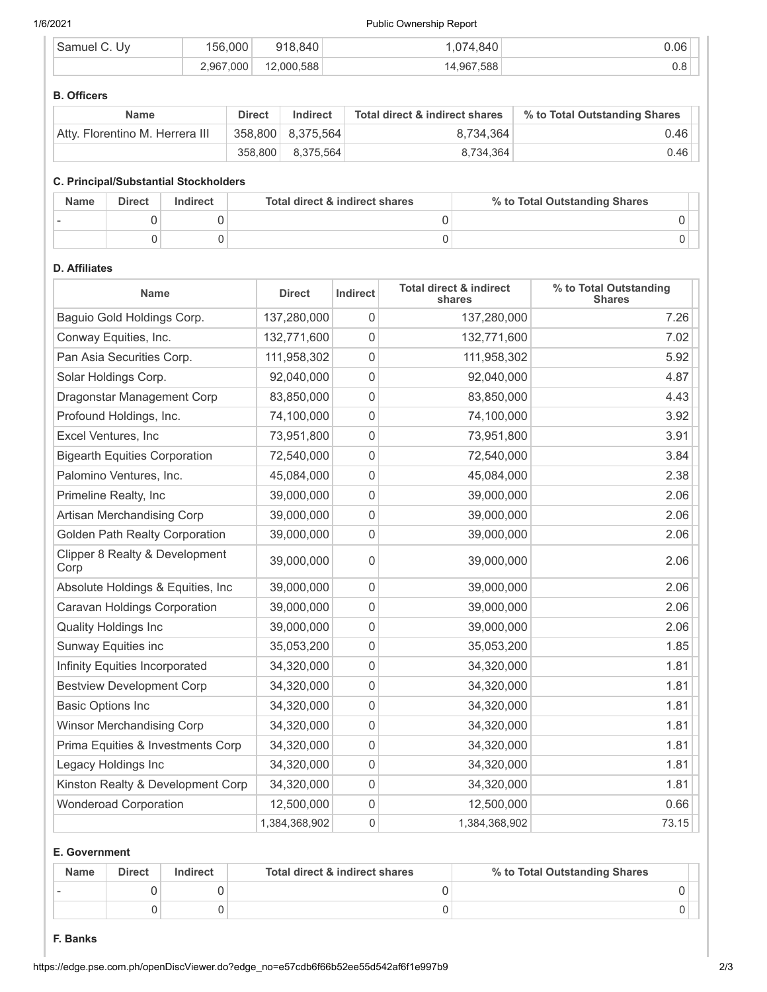#### 1/6/2021 Public Ownership Report

| U٧<br>Samuel | .000<br>156 | .840<br>Q <sub>1</sub> <sup>R</sup> | .074.840   | 0.06 |
|--------------|-------------|-------------------------------------|------------|------|
|              | 2,967,000   | 12,000,588                          | 14,967,588 | U.O  |

#### **B. Officers**

| <b>Name</b>                     | <b>Direct</b> | Indirect          | Total direct & indirect shares | % to Total Outstanding Shares |
|---------------------------------|---------------|-------------------|--------------------------------|-------------------------------|
| Atty. Florentino M. Herrera III |               | 358,800 8,375,564 | 8.734.364                      | 0.46                          |
|                                 |               | 358,800 8,375,564 | 8,734,364                      | 0.46                          |

# **C. Principal/Substantial Stockholders**

| <b>Name</b> | <b>Direct</b> | Indirect | Total direct & indirect shares | % to Total Outstanding Shares |
|-------------|---------------|----------|--------------------------------|-------------------------------|
|             |               |          |                                |                               |
|             |               |          |                                |                               |

# **D. Affiliates**

| <b>Name</b>                            | <b>Direct</b> | Indirect | <b>Total direct &amp; indirect</b><br>shares | % to Total Outstanding<br><b>Shares</b> |
|----------------------------------------|---------------|----------|----------------------------------------------|-----------------------------------------|
| Baguio Gold Holdings Corp.             | 137,280,000   | 0        | 137,280,000                                  | 7.26                                    |
| Conway Equities, Inc.                  | 132,771,600   | 0        | 132,771,600                                  | 7.02                                    |
| Pan Asia Securities Corp.              | 111,958,302   | 0        | 111,958,302                                  | 5.92                                    |
| Solar Holdings Corp.                   | 92,040,000    | 0        | 92,040,000                                   | 4.87                                    |
| Dragonstar Management Corp             | 83,850,000    | 0        | 83,850,000                                   | 4.43                                    |
| Profound Holdings, Inc.                | 74,100,000    | 0        | 74,100,000                                   | 3.92                                    |
| Excel Ventures, Inc                    | 73,951,800    | 0        | 73,951,800                                   | 3.91                                    |
| <b>Bigearth Equities Corporation</b>   | 72,540,000    | 0        | 72,540,000                                   | 3.84                                    |
| Palomino Ventures, Inc.                | 45,084,000    | 0        | 45,084,000                                   | 2.38                                    |
| Primeline Realty, Inc.                 | 39,000,000    | 0        | 39,000,000                                   | 2.06                                    |
| Artisan Merchandising Corp             | 39,000,000    | 0        | 39,000,000                                   | 2.06                                    |
| Golden Path Realty Corporation         | 39,000,000    | 0        | 39,000,000                                   | 2.06                                    |
| Clipper 8 Realty & Development<br>Corp | 39,000,000    | 0        | 39,000,000                                   | 2.06                                    |
| Absolute Holdings & Equities, Inc      | 39,000,000    | 0        | 39,000,000                                   | 2.06                                    |
| Caravan Holdings Corporation           | 39,000,000    | 0        | 39,000,000                                   | 2.06                                    |
| <b>Quality Holdings Inc</b>            | 39,000,000    | 0        | 39,000,000                                   | 2.06                                    |
| Sunway Equities inc                    | 35,053,200    | 0        | 35,053,200                                   | 1.85                                    |
| Infinity Equities Incorporated         | 34,320,000    | 0        | 34,320,000                                   | 1.81                                    |
| <b>Bestview Development Corp</b>       | 34,320,000    | 0        | 34,320,000                                   | 1.81                                    |
| <b>Basic Options Inc</b>               | 34,320,000    | 0        | 34,320,000                                   | 1.81                                    |
| Winsor Merchandising Corp              | 34,320,000    | 0        | 34,320,000                                   | 1.81                                    |
| Prima Equities & Investments Corp      | 34,320,000    | 0        | 34,320,000                                   | 1.81                                    |
| Legacy Holdings Inc                    | 34,320,000    | 0        | 34,320,000                                   | 1.81                                    |
| Kinston Realty & Development Corp      | 34,320,000    | 0        | 34,320,000                                   | 1.81                                    |
| <b>Wonderoad Corporation</b>           | 12,500,000    | 0        | 12,500,000                                   | 0.66                                    |
|                                        | 1,384,368,902 | 0        | 1,384,368,902                                | 73.15                                   |

# **E. Government**

| <b>Name</b> | <b>Direct</b> | Indirect | Total direct & indirect shares | % to Total Outstanding Shares |
|-------------|---------------|----------|--------------------------------|-------------------------------|
|             |               |          |                                |                               |
|             |               |          |                                |                               |

### **F. Banks**